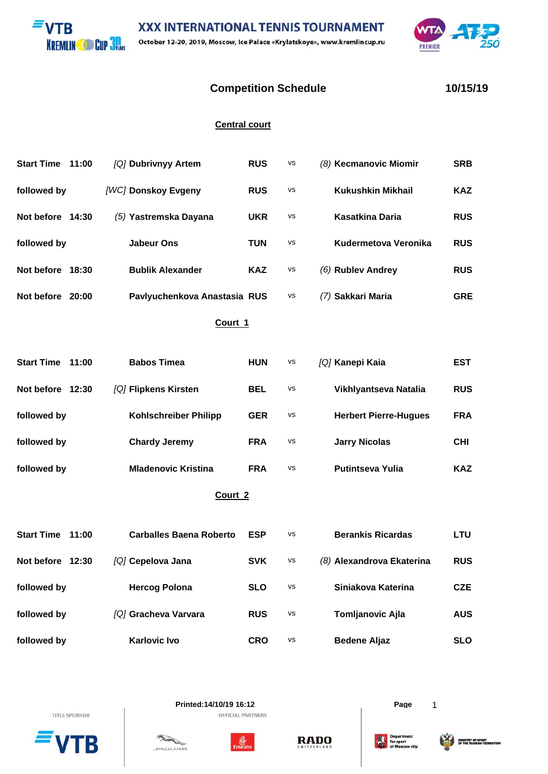**XXX INTERNATIONAL TENNIS TOURNAMENT KREMLIN** CUP<sup>30</sup> October 12-20, 2019, Moscow, Ice Palace «Krylatskoye», www.kremlincup.ru



## **Competition Schedule 10/15/19**

### **Central court**

| Start Time 11:00 |  | [Q] Dubrivnyy Artem            | <b>RUS</b> | <b>VS</b> | (8) Kecmanovic Miomir        | <b>SRB</b> |  |  |  |
|------------------|--|--------------------------------|------------|-----------|------------------------------|------------|--|--|--|
| followed by      |  | [WC] Donskoy Evgeny            | <b>RUS</b> | VS        | <b>Kukushkin Mikhail</b>     | <b>KAZ</b> |  |  |  |
| Not before 14:30 |  | (5) Yastremska Dayana          | <b>UKR</b> | <b>VS</b> | <b>Kasatkina Daria</b>       | <b>RUS</b> |  |  |  |
| followed by      |  | <b>Jabeur Ons</b>              | <b>TUN</b> | <b>VS</b> | Kudermetova Veronika         | <b>RUS</b> |  |  |  |
| Not before 18:30 |  | <b>Bublik Alexander</b>        | <b>KAZ</b> | VS        | (6) Rublev Andrey            | <b>RUS</b> |  |  |  |
| Not before 20:00 |  | Pavlyuchenkova Anastasia RUS   |            | vs        | (7) Sakkari Maria            | <b>GRE</b> |  |  |  |
| Court 1          |  |                                |            |           |                              |            |  |  |  |
|                  |  |                                |            |           |                              |            |  |  |  |
| Start Time 11:00 |  | <b>Babos Timea</b>             | <b>HUN</b> | VS        | [Q] Kanepi Kaia              | <b>EST</b> |  |  |  |
| Not before 12:30 |  | [Q] Flipkens Kirsten           | <b>BEL</b> | <b>VS</b> | Vikhlyantseva Natalia        | <b>RUS</b> |  |  |  |
| followed by      |  | <b>Kohlschreiber Philipp</b>   | <b>GER</b> | <b>VS</b> | <b>Herbert Pierre-Hugues</b> | <b>FRA</b> |  |  |  |
| followed by      |  | <b>Chardy Jeremy</b>           | <b>FRA</b> | <b>VS</b> | <b>Jarry Nicolas</b>         | <b>CHI</b> |  |  |  |
| followed by      |  | <b>Mladenovic Kristina</b>     | <b>FRA</b> | <b>VS</b> | <b>Putintseva Yulia</b>      | <b>KAZ</b> |  |  |  |
| Court 2          |  |                                |            |           |                              |            |  |  |  |
| Start Time 11:00 |  | <b>Carballes Baena Roberto</b> | <b>ESP</b> | <b>VS</b> | <b>Berankis Ricardas</b>     | <b>LTU</b> |  |  |  |
|                  |  |                                |            |           |                              |            |  |  |  |
| Not before 12:30 |  | [Q] Cepelova Jana              | <b>SVK</b> | VS        | (8) Alexandrova Ekaterina    | <b>RUS</b> |  |  |  |
| followed by      |  | <b>Hercog Polona</b>           | <b>SLO</b> | <b>VS</b> | Siniakova Katerina           | <b>CZE</b> |  |  |  |

TITLE SPONSOR





OFFICIAL PARTNERS

**followed by** *[Q]* **Gracheva Varvara RUS** vs **Tomljanovic Ajla AUS**

**followed by Karlovic Ivo CRO** vs **Bedene Aljaz SLO**